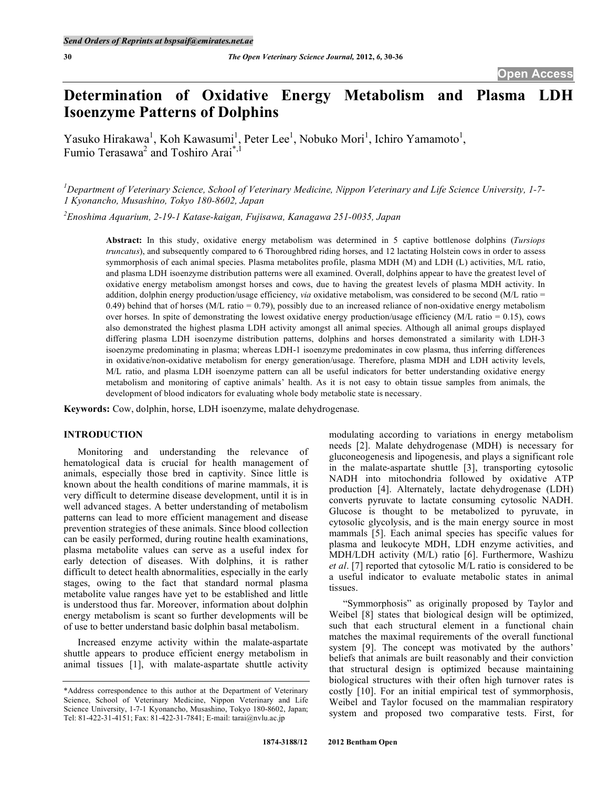# **Determination of Oxidative Energy Metabolism and Plasma LDH Isoenzyme Patterns of Dolphins**

Yasuko Hirakawa<sup>1</sup>, Koh Kawasumi<sup>1</sup>, Peter Lee<sup>1</sup>, Nobuko Mori<sup>1</sup>, Ichiro Yamamoto<sup>1</sup>, Fumio Terasawa<sup>2</sup> and Toshiro Arai<sup>\*,1</sup>

*1 Department of Veterinary Science, School of Veterinary Medicine, Nippon Veterinary and Life Science University, 1-7- 1 Kyonancho, Musashino, Tokyo 180-8602, Japan* 

*2 Enoshima Aquarium, 2-19-1 Katase-kaigan, Fujisawa, Kanagawa 251-0035, Japan* 

**Abstract:** In this study, oxidative energy metabolism was determined in 5 captive bottlenose dolphins (*Tursiops truncatus*), and subsequently compared to 6 Thoroughbred riding horses, and 12 lactating Holstein cows in order to assess symmorphosis of each animal species. Plasma metabolites profile, plasma MDH (M) and LDH (L) activities, M/L ratio, and plasma LDH isoenzyme distribution patterns were all examined. Overall, dolphins appear to have the greatest level of oxidative energy metabolism amongst horses and cows, due to having the greatest levels of plasma MDH activity. In addition, dolphin energy production/usage efficiency, *via* oxidative metabolism, was considered to be second (M/L ratio = 0.49) behind that of horses (M/L ratio  $= 0.79$ ), possibly due to an increased reliance of non-oxidative energy metabolism over horses. In spite of demonstrating the lowest oxidative energy production/usage efficiency ( $M/L$  ratio = 0.15), cows also demonstrated the highest plasma LDH activity amongst all animal species. Although all animal groups displayed differing plasma LDH isoenzyme distribution patterns, dolphins and horses demonstrated a similarity with LDH-3 isoenzyme predominating in plasma; whereas LDH-1 isoenzyme predominates in cow plasma, thus inferring differences in oxidative/non-oxidative metabolism for energy generation/usage. Therefore, plasma MDH and LDH activity levels, M/L ratio, and plasma LDH isoenzyme pattern can all be useful indicators for better understanding oxidative energy metabolism and monitoring of captive animals' health. As it is not easy to obtain tissue samples from animals, the development of blood indicators for evaluating whole body metabolic state is necessary.

**Keywords:** Cow, dolphin, horse, LDH isoenzyme, malate dehydrogenase.

## **INTRODUCTION**

 Monitoring and understanding the relevance of hematological data is crucial for health management of animals, especially those bred in captivity. Since little is known about the health conditions of marine mammals, it is very difficult to determine disease development, until it is in well advanced stages. A better understanding of metabolism patterns can lead to more efficient management and disease prevention strategies of these animals. Since blood collection can be easily performed, during routine health examinations, plasma metabolite values can serve as a useful index for early detection of diseases. With dolphins, it is rather difficult to detect health abnormalities, especially in the early stages, owing to the fact that standard normal plasma metabolite value ranges have yet to be established and little is understood thus far. Moreover, information about dolphin energy metabolism is scant so further developments will be of use to better understand basic dolphin basal metabolism.

 Increased enzyme activity within the malate-aspartate shuttle appears to produce efficient energy metabolism in animal tissues [1], with malate-aspartate shuttle activity

modulating according to variations in energy metabolism needs [2]. Malate dehydrogenase (MDH) is necessary for gluconeogenesis and lipogenesis, and plays a significant role in the malate-aspartate shuttle [3], transporting cytosolic NADH into mitochondria followed by oxidative ATP production [4]. Alternately, lactate dehydrogenase (LDH) converts pyruvate to lactate consuming cytosolic NADH. Glucose is thought to be metabolized to pyruvate, in cytosolic glycolysis, and is the main energy source in most mammals [5]. Each animal species has specific values for plasma and leukocyte MDH, LDH enzyme activities, and MDH/LDH activity (M/L) ratio [6]. Furthermore, Washizu *et al*. [7] reported that cytosolic M/L ratio is considered to be a useful indicator to evaluate metabolic states in animal tissues.

 "Symmorphosis" as originally proposed by Taylor and Weibel [8] states that biological design will be optimized, such that each structural element in a functional chain matches the maximal requirements of the overall functional system [9]. The concept was motivated by the authors' beliefs that animals are built reasonably and their conviction that structural design is optimized because maintaining biological structures with their often high turnover rates is costly [10]. For an initial empirical test of symmorphosis, Weibel and Taylor focused on the mammalian respiratory system and proposed two comparative tests. First, for

<sup>\*</sup>Address correspondence to this author at the Department of Veterinary Science, School of Veterinary Medicine, Nippon Veterinary and Life Science University, 1-7-1 Kyonancho, Musashino, Tokyo 180-8602, Japan; Tel: 81-422-31-4151; Fax: 81-422-31-7841; E-mail: tarai@nvlu.ac.jp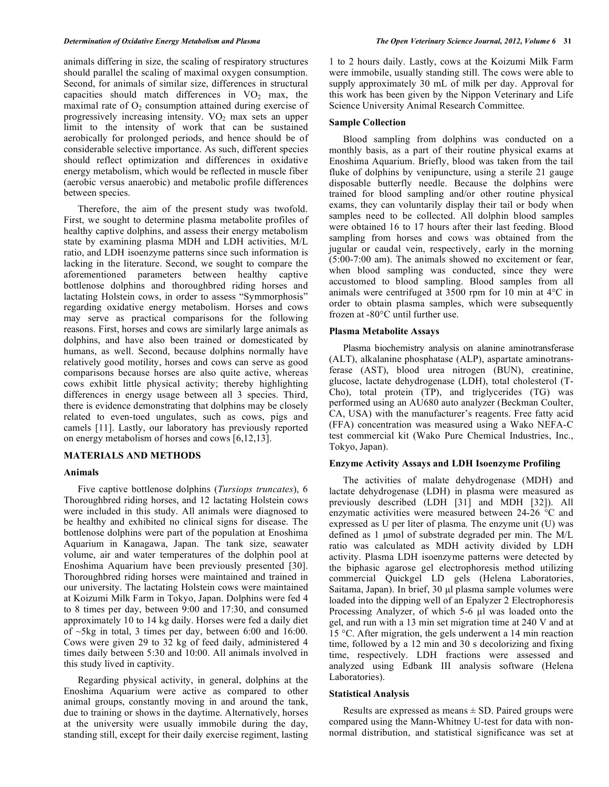animals differing in size, the scaling of respiratory structures should parallel the scaling of maximal oxygen consumption. Second, for animals of similar size, differences in structural capacities should match differences in  $VO<sub>2</sub>$  max, the maximal rate of  $O<sub>2</sub>$  consumption attained during exercise of progressively increasing intensity.  $VO<sub>2</sub>$  max sets an upper limit to the intensity of work that can be sustained aerobically for prolonged periods, and hence should be of considerable selective importance. As such, different species should reflect optimization and differences in oxidative energy metabolism, which would be reflected in muscle fiber (aerobic versus anaerobic) and metabolic profile differences between species.

 Therefore, the aim of the present study was twofold. First, we sought to determine plasma metabolite profiles of healthy captive dolphins, and assess their energy metabolism state by examining plasma MDH and LDH activities, M/L ratio, and LDH isoenzyme patterns since such information is lacking in the literature. Second, we sought to compare the aforementioned parameters between healthy captive bottlenose dolphins and thoroughbred riding horses and lactating Holstein cows, in order to assess "Symmorphosis" regarding oxidative energy metabolism. Horses and cows may serve as practical comparisons for the following reasons. First, horses and cows are similarly large animals as dolphins, and have also been trained or domesticated by humans, as well. Second, because dolphins normally have relatively good motility, horses and cows can serve as good comparisons because horses are also quite active, whereas cows exhibit little physical activity; thereby highlighting differences in energy usage between all 3 species. Third, there is evidence demonstrating that dolphins may be closely related to even-toed ungulates, such as cows, pigs and camels [11]. Lastly, our laboratory has previously reported on energy metabolism of horses and cows [6,12,13].

## **MATERIALS AND METHODS**

#### **Animals**

 Five captive bottlenose dolphins (*Tursiops truncates*), 6 Thoroughbred riding horses, and 12 lactating Holstein cows were included in this study. All animals were diagnosed to be healthy and exhibited no clinical signs for disease. The bottlenose dolphins were part of the population at Enoshima Aquarium in Kanagawa, Japan. The tank size, seawater volume, air and water temperatures of the dolphin pool at Enoshima Aquarium have been previously presented [30]. Thoroughbred riding horses were maintained and trained in our university. The lactating Holstein cows were maintained at Koizumi Milk Farm in Tokyo, Japan. Dolphins were fed 4 to 8 times per day, between 9:00 and 17:30, and consumed approximately 10 to 14 kg daily. Horses were fed a daily diet of  $\sim$ 5kg in total, 3 times per day, between 6:00 and 16:00. Cows were given 29 to 32 kg of feed daily, administered 4 times daily between 5:30 and 10:00. All animals involved in this study lived in captivity.

 Regarding physical activity, in general, dolphins at the Enoshima Aquarium were active as compared to other animal groups, constantly moving in and around the tank, due to training or shows in the daytime. Alternatively, horses at the university were usually immobile during the day, standing still, except for their daily exercise regiment, lasting 1 to 2 hours daily. Lastly, cows at the Koizumi Milk Farm were immobile, usually standing still. The cows were able to supply approximately 30 mL of milk per day. Approval for this work has been given by the Nippon Veterinary and Life Science University Animal Research Committee.

#### **Sample Collection**

 Blood sampling from dolphins was conducted on a monthly basis, as a part of their routine physical exams at Enoshima Aquarium. Briefly, blood was taken from the tail fluke of dolphins by venipuncture, using a sterile 21 gauge disposable butterfly needle. Because the dolphins were trained for blood sampling and/or other routine physical exams, they can voluntarily display their tail or body when samples need to be collected. All dolphin blood samples were obtained 16 to 17 hours after their last feeding. Blood sampling from horses and cows was obtained from the jugular or caudal vein, respectively, early in the morning (5:00-7:00 am). The animals showed no excitement or fear, when blood sampling was conducted, since they were accustomed to blood sampling. Blood samples from all animals were centrifuged at 3500 rpm for 10 min at 4°C in order to obtain plasma samples, which were subsequently frozen at -80°C until further use.

#### **Plasma Metabolite Assays**

 Plasma biochemistry analysis on alanine aminotransferase (ALT), alkalanine phosphatase (ALP), aspartate aminotransferase (AST), blood urea nitrogen (BUN), creatinine, glucose, lactate dehydrogenase (LDH), total cholesterol (T-Cho), total protein (TP), and triglycerides (TG) was performed using an AU680 auto analyzer (Beckman Coulter, CA, USA) with the manufacturer's reagents. Free fatty acid (FFA) concentration was measured using a Wako NEFA-C test commercial kit (Wako Pure Chemical Industries, Inc., Tokyo, Japan).

## **Enzyme Activity Assays and LDH Isoenzyme Profiling**

 The activities of malate dehydrogenase (MDH) and lactate dehydrogenase (LDH) in plasma were measured as previously described (LDH [31] and MDH [32]). All enzymatic activities were measured between 24-26 °C and expressed as U per liter of plasma. The enzyme unit (U) was defined as 1 μmol of substrate degraded per min. The M/L ratio was calculated as MDH activity divided by LDH activity. Plasma LDH isoenzyme patterns were detected by the biphasic agarose gel electrophoresis method utilizing commercial Quickgel LD gels (Helena Laboratories, Saitama, Japan). In brief, 30 μl plasma sample volumes were loaded into the dipping well of an Epalyzer 2 Electrophoresis Processing Analyzer, of which 5-6 μl was loaded onto the gel, and run with a 13 min set migration time at 240 V and at 15 °C. After migration, the gels underwent a 14 min reaction time, followed by a 12 min and 30 s decolorizing and fixing time, respectively. LDH fractions were assessed and analyzed using Edbank III analysis software (Helena Laboratories).

#### **Statistical Analysis**

Results are expressed as means  $\pm$  SD. Paired groups were compared using the Mann-Whitney U-test for data with nonnormal distribution, and statistical significance was set at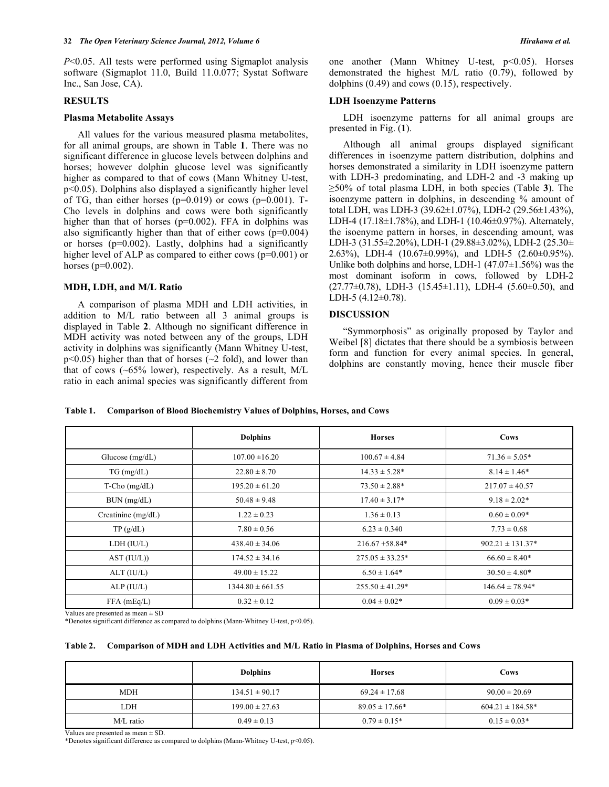*P*<0.05. All tests were performed using Sigmaplot analysis software (Sigmaplot 11.0, Build 11.0.077; Systat Software Inc., San Jose, CA).

## **RESULTS**

#### **Plasma Metabolite Assays**

 All values for the various measured plasma metabolites, for all animal groups, are shown in Table **1**. There was no significant difference in glucose levels between dolphins and horses; however dolphin glucose level was significantly higher as compared to that of cows (Mann Whitney U-test, p<0.05). Dolphins also displayed a significantly higher level of TG, than either horses  $(p=0.019)$  or cows  $(p=0.001)$ . T-Cho levels in dolphins and cows were both significantly higher than that of horses (p=0.002). FFA in dolphins was also significantly higher than that of either cows  $(p=0.004)$ or horses ( $p=0.002$ ). Lastly, dolphins had a significantly higher level of ALP as compared to either cows (p=0.001) or horses ( $p=0.002$ ).

#### **MDH, LDH, and M/L Ratio**

 A comparison of plasma MDH and LDH activities, in addition to M/L ratio between all 3 animal groups is displayed in Table **2**. Although no significant difference in MDH activity was noted between any of the groups, LDH activity in dolphins was significantly (Mann Whitney U-test,  $p<0.05$ ) higher than that of horses ( $\sim$ 2 fold), and lower than that of cows (~65% lower), respectively. As a result, M/L ratio in each animal species was significantly different from one another (Mann Whitney U-test, p<0.05). Horses demonstrated the highest M/L ratio (0.79), followed by dolphins (0.49) and cows (0.15), respectively.

#### **LDH Isoenzyme Patterns**

 LDH isoenzyme patterns for all animal groups are presented in Fig. (**1**).

 Although all animal groups displayed significant differences in isoenzyme pattern distribution, dolphins and horses demonstrated a similarity in LDH isoenzyme pattern with LDH-3 predominating, and LDH-2 and -3 making up 50% of total plasma LDH, in both species (Table **3**). The isoenzyme pattern in dolphins, in descending % amount of total LDH, was LDH-3 (39.62±1.07%), LDH-2 (29.56±1.43%), LDH-4 (17.18±1.78%), and LDH-1 (10.46±0.97%). Alternately, the isoenyme pattern in horses, in descending amount, was LDH-3 (31.55±2.20%), LDH-1 (29.88±3.02%), LDH-2 (25.30± 2.63%), LDH-4 (10.67±0.99%), and LDH-5 (2.60±0.95%). Unlike both dolphins and horse, LDH-1  $(47.07\pm1.56\%)$  was the most dominant isoform in cows, followed by LDH-2  $(27.77\pm0.78)$ , LDH-3  $(15.45\pm1.11)$ , LDH-4  $(5.60\pm0.50)$ , and LDH-5 (4.12±0.78).

### **DISCUSSION**

 "Symmorphosis" as originally proposed by Taylor and Weibel [8] dictates that there should be a symbiosis between form and function for every animal species. In general, dolphins are constantly moving, hence their muscle fiber

**Table 1. Comparison of Blood Biochemistry Values of Dolphins, Horses, and Cows** 

|                      | <b>Dolphins</b>      | <b>Horses</b>        | Cows                 |
|----------------------|----------------------|----------------------|----------------------|
| Glucose $(mg/dL)$    | $107.00 \pm 16.20$   | $100.67 \pm 4.84$    | $71.36 \pm 5.05*$    |
| $TG$ (mg/dL)         | $22.80 \pm 8.70$     | $14.33 \pm 5.28^*$   | $8.14 \pm 1.46*$     |
| $T$ -Cho (mg/dL)     | $195.20 \pm 61.20$   | $73.50 \pm 2.88*$    | $217.07 \pm 40.57$   |
| BUN (mg/dL)          | $50.48 \pm 9.48$     | $17.40 \pm 3.17*$    | $9.18 \pm 2.02*$     |
| Creatinine $(mg/dL)$ | $1.22 \pm 0.23$      | $1.36 \pm 0.13$      | $0.60 \pm 0.09*$     |
| TP(g/dL)             | $7.80 \pm 0.56$      | $6.23 \pm 0.340$     | $7.73 \pm 0.68$      |
| LDH (IU/L)           | $438.40 \pm 34.06$   | $216.67 + 58.84*$    | $902.21 \pm 131.37*$ |
| AST (IU/L))          | $174.52 \pm 34.16$   | $275.05 \pm 33.25^*$ | $66.60 \pm 8.40*$    |
| ALT (IU/L)           | $49.00 \pm 15.22$    | $6.50 \pm 1.64*$     | $30.50 \pm 4.80*$    |
| ALP (IU/L)           | $1344.80 \pm 661.55$ | $255.50 \pm 41.29*$  | $146.64 \pm 78.94*$  |
| $FFA$ (mEq/L)        | $0.32 \pm 0.12$      | $0.04 \pm 0.02*$     | $0.09 \pm 0.03*$     |

Values are presented as mean ± SD

\*Denotes significant difference as compared to dolphins (Mann-Whitney U-test, p<0.05).

#### **Table 2. Comparison of MDH and LDH Activities and M/L Ratio in Plasma of Dolphins, Horses and Cows**

|            | <b>Dolphins</b>    | <b>Horses</b>      | Cows                  |
|------------|--------------------|--------------------|-----------------------|
| <b>MDH</b> | $134.51 \pm 90.17$ | $69.24 \pm 17.68$  | $90.00 \pm 20.69$     |
| LDH.       | $199.00 \pm 27.63$ | $89.05 \pm 17.66*$ | $604.21 \pm 184.58^*$ |
| M/L ratio  | $0.49 \pm 0.13$    | $0.79 \pm 0.15*$   | $0.15 \pm 0.03*$      |

Values are presented as mean ± SD.

\*Denotes significant difference as compared to dolphins (Mann-Whitney U-test, p<0.05).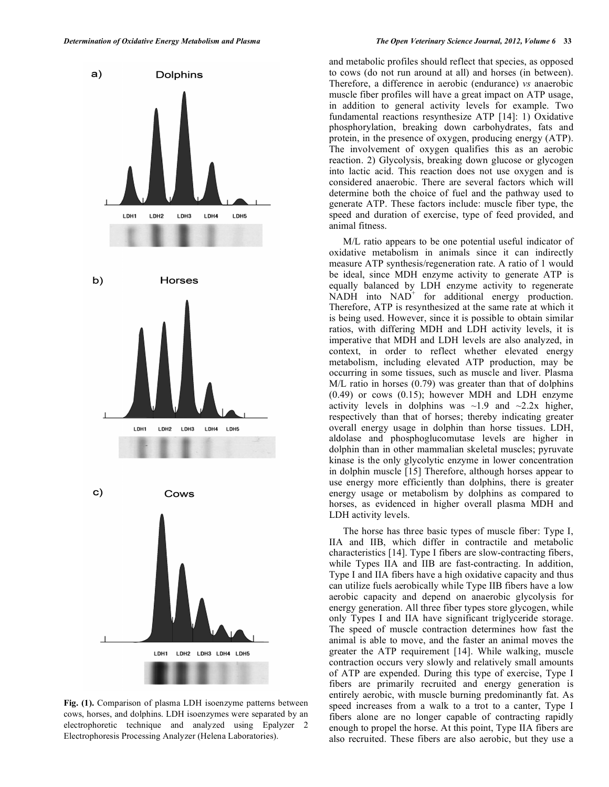

**Fig. (1).** Comparison of plasma LDH isoenzyme patterns between cows, horses, and dolphins. LDH isoenzymes were separated by an electrophoretic technique and analyzed using Epalyzer 2 Electrophoresis Processing Analyzer (Helena Laboratories).

and metabolic profiles should reflect that species, as opposed to cows (do not run around at all) and horses (in between). Therefore, a difference in aerobic (endurance) *vs* anaerobic muscle fiber profiles will have a great impact on ATP usage, in addition to general activity levels for example. Two fundamental reactions resynthesize ATP [14]: 1) Oxidative phosphorylation, breaking down carbohydrates, fats and protein, in the presence of oxygen, producing energy (ATP). The involvement of oxygen qualifies this as an aerobic reaction. 2) Glycolysis, breaking down glucose or glycogen into lactic acid. This reaction does not use oxygen and is considered anaerobic. There are several factors which will determine both the choice of fuel and the pathway used to generate ATP. These factors include: muscle fiber type, the speed and duration of exercise, type of feed provided, and animal fitness.

 M/L ratio appears to be one potential useful indicator of oxidative metabolism in animals since it can indirectly measure ATP synthesis/regeneration rate. A ratio of 1 would be ideal, since MDH enzyme activity to generate ATP is equally balanced by LDH enzyme activity to regenerate  $NADH$  into  $NAD<sup>+</sup>$  for additional energy production. Therefore, ATP is resynthesized at the same rate at which it is being used. However, since it is possible to obtain similar ratios, with differing MDH and LDH activity levels, it is imperative that MDH and LDH levels are also analyzed, in context, in order to reflect whether elevated energy metabolism, including elevated ATP production, may be occurring in some tissues, such as muscle and liver. Plasma M/L ratio in horses (0.79) was greater than that of dolphins (0.49) or cows (0.15); however MDH and LDH enzyme activity levels in dolphins was  $\sim$ 1.9 and  $\sim$ 2.2x higher, respectively than that of horses; thereby indicating greater overall energy usage in dolphin than horse tissues. LDH, aldolase and phosphoglucomutase levels are higher in dolphin than in other mammalian skeletal muscles; pyruvate kinase is the only glycolytic enzyme in lower concentration in dolphin muscle [15] Therefore, although horses appear to use energy more efficiently than dolphins, there is greater energy usage or metabolism by dolphins as compared to horses, as evidenced in higher overall plasma MDH and LDH activity levels.

 The horse has three basic types of muscle fiber: Type I, IIA and IIB, which differ in contractile and metabolic characteristics [14]. Type I fibers are slow-contracting fibers, while Types IIA and IIB are fast-contracting. In addition, Type I and IIA fibers have a high oxidative capacity and thus can utilize fuels aerobically while Type IIB fibers have a low aerobic capacity and depend on anaerobic glycolysis for energy generation. All three fiber types store glycogen, while only Types I and IIA have significant triglyceride storage. The speed of muscle contraction determines how fast the animal is able to move, and the faster an animal moves the greater the ATP requirement [14]. While walking, muscle contraction occurs very slowly and relatively small amounts of ATP are expended. During this type of exercise, Type I fibers are primarily recruited and energy generation is entirely aerobic, with muscle burning predominantly fat. As speed increases from a walk to a trot to a canter, Type I fibers alone are no longer capable of contracting rapidly enough to propel the horse. At this point, Type IIA fibers are also recruited. These fibers are also aerobic, but they use a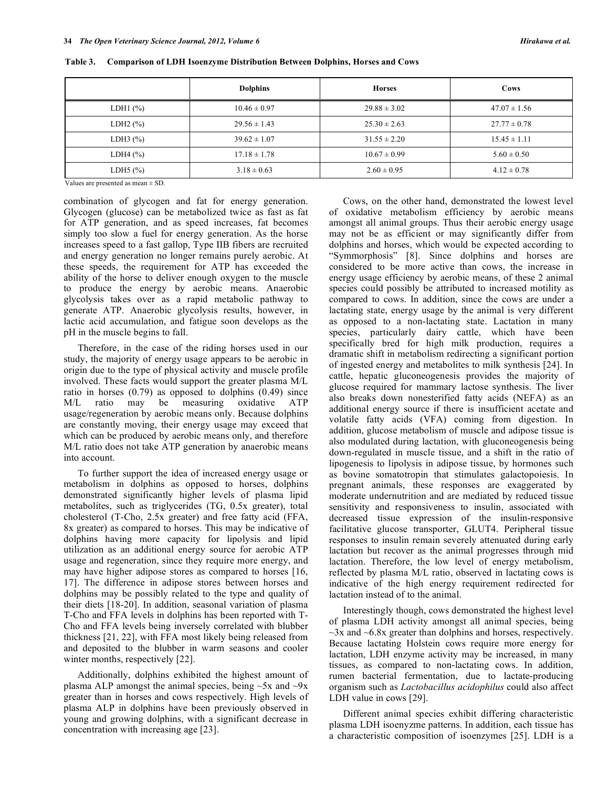|                                 | <b>Dolphins</b>  | <b>Horses</b>    | Cows             |
|---------------------------------|------------------|------------------|------------------|
| LDH $1$ $\frac{\%}{\%}$         | $10.46 \pm 0.97$ | $29.88 \pm 3.02$ | $47.07 \pm 1.56$ |
| LDH <sub>2</sub> $(\%)$         | $29.56 \pm 1.43$ | $25.30 \pm 2.63$ | $27.77 \pm 0.78$ |
| LDH $3$ $\frac{\frac{6}{6}}{2}$ | $39.62 \pm 1.07$ | $31.55 \pm 2.20$ | $15.45 \pm 1.11$ |
| LDH4 $(\% )$                    | $17.18 \pm 1.78$ | $10.67 \pm 0.99$ | $5.60 \pm 0.50$  |
| LDH5 $(\%)$                     | $3.18 \pm 0.63$  | $2.60 \pm 0.95$  | $4.12 \pm 0.78$  |

**Table 3. Comparison of LDH Isoenzyme Distribution Between Dolphins, Horses and Cows** 

Values are presented as mean ± SD.

combination of glycogen and fat for energy generation. Glycogen (glucose) can be metabolized twice as fast as fat for ATP generation, and as speed increases, fat becomes simply too slow a fuel for energy generation. As the horse increases speed to a fast gallop, Type IIB fibers are recruited and energy generation no longer remains purely aerobic. At these speeds, the requirement for ATP has exceeded the ability of the horse to deliver enough oxygen to the muscle to produce the energy by aerobic means. Anaerobic glycolysis takes over as a rapid metabolic pathway to generate ATP. Anaerobic glycolysis results, however, in lactic acid accumulation, and fatigue soon develops as the pH in the muscle begins to fall.

 Therefore, in the case of the riding horses used in our study, the majority of energy usage appears to be aerobic in origin due to the type of physical activity and muscle profile involved. These facts would support the greater plasma M/L ratio in horses (0.79) as opposed to dolphins (0.49) since M/L ratio may be measuring oxidative ATP usage/regeneration by aerobic means only. Because dolphins are constantly moving, their energy usage may exceed that which can be produced by aerobic means only, and therefore M/L ratio does not take ATP generation by anaerobic means into account.

 To further support the idea of increased energy usage or metabolism in dolphins as opposed to horses, dolphins demonstrated significantly higher levels of plasma lipid metabolites, such as triglycerides (TG, 0.5x greater), total cholesterol (T-Cho, 2.5x greater) and free fatty acid (FFA, 8x greater) as compared to horses. This may be indicative of dolphins having more capacity for lipolysis and lipid utilization as an additional energy source for aerobic ATP usage and regeneration, since they require more energy, and may have higher adipose stores as compared to horses [16, 17]. The difference in adipose stores between horses and dolphins may be possibly related to the type and quality of their diets [18-20]. In addition, seasonal variation of plasma T-Cho and FFA levels in dolphins has been reported with T-Cho and FFA levels being inversely correlated with blubber thickness [21, 22], with FFA most likely being released from and deposited to the blubber in warm seasons and cooler winter months, respectively [22].

 Additionally, dolphins exhibited the highest amount of plasma ALP amongst the animal species, being  $\sim$ 5x and  $\sim$ 9x greater than in horses and cows respectively. High levels of plasma ALP in dolphins have been previously observed in young and growing dolphins, with a significant decrease in concentration with increasing age [23].

 Cows, on the other hand, demonstrated the lowest level of oxidative metabolism efficiency by aerobic means amongst all animal groups. Thus their aerobic energy usage may not be as efficient or may significantly differ from dolphins and horses, which would be expected according to "Symmorphosis" [8]. Since dolphins and horses are considered to be more active than cows, the increase in energy usage efficiency by aerobic means, of these 2 animal species could possibly be attributed to increased motility as compared to cows. In addition, since the cows are under a lactating state, energy usage by the animal is very different as opposed to a non-lactating state. Lactation in many species, particularly dairy cattle, which have been specifically bred for high milk production, requires a dramatic shift in metabolism redirecting a significant portion of ingested energy and metabolites to milk synthesis [24]. In cattle, hepatic gluconeogenesis provides the majority of glucose required for mammary lactose synthesis. The liver also breaks down nonesterified fatty acids (NEFA) as an additional energy source if there is insufficient acetate and volatile fatty acids (VFA) coming from digestion. In addition, glucose metabolism of muscle and adipose tissue is also modulated during lactation, with gluconeogenesis being down-regulated in muscle tissue, and a shift in the ratio of lipogenesis to lipolysis in adipose tissue, by hormones such as bovine somatotropin that stimulates galactopoiesis. In pregnant animals, these responses are exaggerated by moderate undernutrition and are mediated by reduced tissue sensitivity and responsiveness to insulin, associated with decreased tissue expression of the insulin-responsive facilitative glucose transporter, GLUT4. Peripheral tissue responses to insulin remain severely attenuated during early lactation but recover as the animal progresses through mid lactation. Therefore, the low level of energy metabolism, reflected by plasma M/L ratio, observed in lactating cows is indicative of the high energy requirement redirected for lactation instead of to the animal.

 Interestingly though, cows demonstrated the highest level of plasma LDH activity amongst all animal species, being  $\sim$ 3x and  $\sim$ 6.8x greater than dolphins and horses, respectively. Because lactating Holstein cows require more energy for lactation, LDH enzyme activity may be increased, in many tissues, as compared to non-lactating cows. In addition, rumen bacterial fermentation, due to lactate-producing organism such as *Lactobacillus acidophilus* could also affect LDH value in cows [29].

 Different animal species exhibit differing characteristic plasma LDH isoenyzme patterns. In addition, each tissue has a characteristic composition of isoenzymes [25]. LDH is a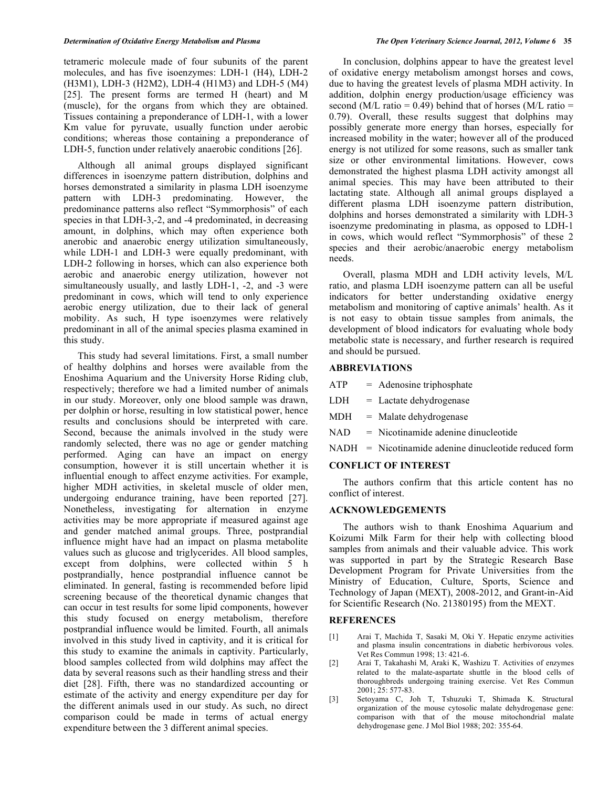tetrameric molecule made of four subunits of the parent molecules, and has five isoenzymes: LDH-1 (H4), LDH-2 (H3M1), LDH-3 (H2M2), LDH-4 (H1M3) and LDH-5 (M4) [25]. The present forms are termed H (heart) and M (muscle), for the organs from which they are obtained. Tissues containing a preponderance of LDH-1, with a lower Km value for pyruvate, usually function under aerobic conditions; whereas those containing a preponderance of LDH-5, function under relatively anaerobic conditions [26].

 Although all animal groups displayed significant differences in isoenzyme pattern distribution, dolphins and horses demonstrated a similarity in plasma LDH isoenzyme pattern with LDH-3 predominating. However, the predominance patterns also reflect "Symmorphosis" of each species in that LDH-3,-2, and -4 predominated, in decreasing amount, in dolphins, which may often experience both anerobic and anaerobic energy utilization simultaneously, while LDH-1 and LDH-3 were equally predominant, with LDH-2 following in horses, which can also experience both aerobic and anaerobic energy utilization, however not simultaneously usually, and lastly LDH-1, -2, and -3 were predominant in cows, which will tend to only experience aerobic energy utilization, due to their lack of general mobility. As such, H type isoenzymes were relatively predominant in all of the animal species plasma examined in this study.

 This study had several limitations. First, a small number of healthy dolphins and horses were available from the Enoshima Aquarium and the University Horse Riding club, respectively; therefore we had a limited number of animals in our study. Moreover, only one blood sample was drawn, per dolphin or horse, resulting in low statistical power, hence results and conclusions should be interpreted with care. Second, because the animals involved in the study were randomly selected, there was no age or gender matching performed. Aging can have an impact on energy consumption, however it is still uncertain whether it is influential enough to affect enzyme activities. For example, higher MDH activities, in skeletal muscle of older men, undergoing endurance training, have been reported [27]. Nonetheless, investigating for alternation in enzyme activities may be more appropriate if measured against age and gender matched animal groups. Three, postprandial influence might have had an impact on plasma metabolite values such as glucose and triglycerides. All blood samples, except from dolphins, were collected within 5 h postprandially, hence postprandial influence cannot be eliminated. In general, fasting is recommended before lipid screening because of the theoretical dynamic changes that can occur in test results for some lipid components, however this study focused on energy metabolism, therefore postprandial influence would be limited. Fourth, all animals involved in this study lived in captivity, and it is critical for this study to examine the animals in captivity. Particularly, blood samples collected from wild dolphins may affect the data by several reasons such as their handling stress and their diet [28]. Fifth, there was no standardized accounting or estimate of the activity and energy expenditure per day for the different animals used in our study. As such, no direct comparison could be made in terms of actual energy expenditure between the 3 different animal species.

 In conclusion, dolphins appear to have the greatest level of oxidative energy metabolism amongst horses and cows, due to having the greatest levels of plasma MDH activity. In addition, dolphin energy production/usage efficiency was second (M/L ratio =  $0.49$ ) behind that of horses (M/L ratio = 0.79). Overall, these results suggest that dolphins may possibly generate more energy than horses, especially for increased mobility in the water; however all of the produced energy is not utilized for some reasons, such as smaller tank size or other environmental limitations. However, cows demonstrated the highest plasma LDH activity amongst all animal species. This may have been attributed to their lactating state. Although all animal groups displayed a different plasma LDH isoenzyme pattern distribution, dolphins and horses demonstrated a similarity with LDH-3 isoenzyme predominating in plasma, as opposed to LDH-1 in cows, which would reflect "Symmorphosis" of these 2 species and their aerobic/anaerobic energy metabolism needs.

 Overall, plasma MDH and LDH activity levels, M/L ratio, and plasma LDH isoenzyme pattern can all be useful indicators for better understanding oxidative energy metabolism and monitoring of captive animals' health. As it is not easy to obtain tissue samples from animals, the development of blood indicators for evaluating whole body metabolic state is necessary, and further research is required and should be pursued.

## **ABBREVIATIONS**

- $ATP =$  Adenosine triphosphate
- $LDH =$  Lactate dehydrogenase
- MDH = Malate dehydrogenase
- NAD = Nicotinamide adenine dinucleotide
- NADH = Nicotinamide adenine dinucleotide reduced form

## **CONFLICT OF INTEREST**

 The authors confirm that this article content has no conflict of interest.

## **ACKNOWLEDGEMENTS**

 The authors wish to thank Enoshima Aquarium and Koizumi Milk Farm for their help with collecting blood samples from animals and their valuable advice. This work was supported in part by the Strategic Research Base Development Program for Private Universities from the Ministry of Education, Culture, Sports, Science and Technology of Japan (MEXT), 2008-2012, and Grant-in-Aid for Scientific Research (No. 21380195) from the MEXT.

## **REFERENCES**

- [1] Arai T, Machida T, Sasaki M, Oki Y. Hepatic enzyme activities and plasma insulin concentrations in diabetic herbivorous voles. Vet Res Commun 1998; 13: 421-6.
- [2] Arai T, Takahashi M, Araki K, Washizu T. Activities of enzymes related to the malate-aspartate shuttle in the blood cells of thoroughbreds undergoing training exercise. Vet Res Commun 2001; 25: 577-83.
- [3] Setoyama C, Joh T, Tshuzuki T, Shimada K. Structural organization of the mouse cytosolic malate dehydrogenase gene: comparison with that of the mouse mitochondrial malate dehydrogenase gene. J Mol Biol 1988; 202: 355-64.